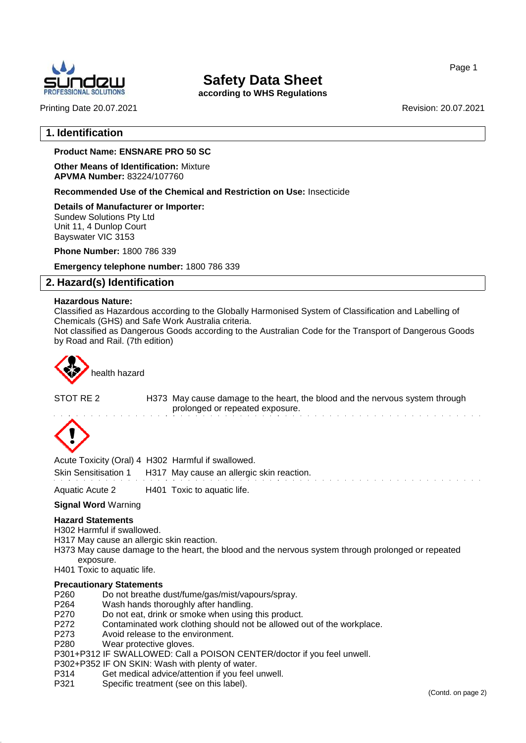

**according to WHS Regulations**

Printing Date 20.07.2021 Revision: 20.07.2021

Page 1

#### **1. Identification**

#### **Product Name: ENSNARE PRO 50 SC**

**Other Means of Identification:** Mixture **APVMA Number:** 83224/107760

**Recommended Use of the Chemical and Restriction on Use:** Insecticide

**Details of Manufacturer or Importer:** Sundew Solutions Pty Ltd Unit 11, 4 Dunlop Court Bayswater VIC 3153

**Phone Number:** 1800 786 339

**Emergency telephone number:** 1800 786 339

#### **2. Hazard(s) Identification**

#### **Hazardous Nature:**

Classified as Hazardous according to the Globally Harmonised System of Classification and Labelling of Chemicals (GHS) and Safe Work Australia criteria.

Not classified as Dangerous Goods according to the Australian Code for the Transport of Dangerous Goods by Road and Rail. (7th edition)



health hazard

STOT RE 2 H373 May cause damage to the heart, the blood and the nervous system through prolonged or repeated exposure.



Acute Toxicity (Oral) 4 H302 Harmful if swallowed.

Skin Sensitisation 1 H317 May cause an allergic skin reaction.

Aquatic Acute 2 H401 Toxic to aquatic life.

#### **Signal Word** Warning

#### **Hazard Statements**

- H302 Harmful if swallowed.
- H317 May cause an allergic skin reaction.
- H373 May cause damage to the heart, the blood and the nervous system through prolonged or repeated exposure.

H401 Toxic to aquatic life.

#### **Precautionary Statements**

- P260 Do not breathe dust/fume/gas/mist/vapours/spray.<br>P264 Wash hands thoroughly after handling.
- P264 Wash hands thoroughly after handling.<br>P270 Do not eat. drink or smoke when using
- Do not eat, drink or smoke when using this product.
- P272 Contaminated work clothing should not be allowed out of the workplace.<br>P273 Avoid release to the environment.
- Avoid release to the environment.
- P280 Wear protective gloves.

P301+P312 IF SWALLOWED: Call a POISON CENTER/doctor if you feel unwell.

- P302+P352 IF ON SKIN: Wash with plenty of water.
- P314 Get medical advice/attention if you feel unwell.
- P321 Specific treatment (see on this label).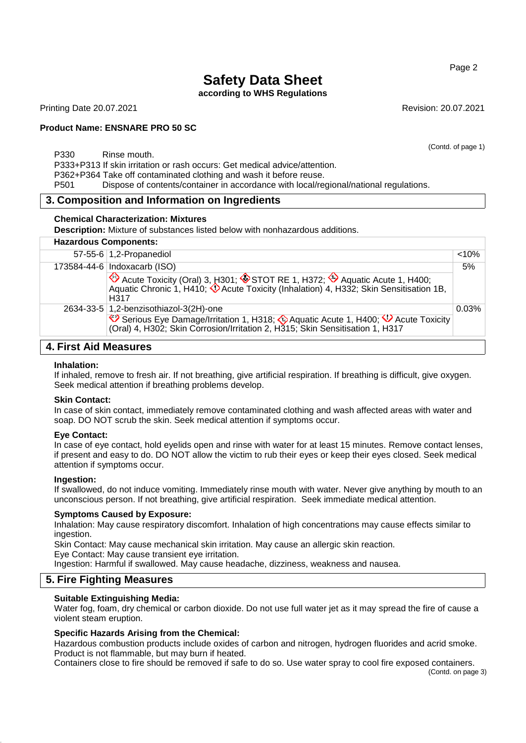**according to WHS Regulations**

Printing Date 20.07.2021 **Revision: 20.07.2021** Revision: 20.07.2021

#### **Product Name: ENSNARE PRO 50 SC**

P330 Rinse mouth.

P333+P313 If skin irritation or rash occurs: Get medical advice/attention.

P362+P364 Take off contaminated clothing and wash it before reuse.

P501 Dispose of contents/container in accordance with local/regional/national regulations.

#### **3. Composition and Information on Ingredients**

#### **Chemical Characterization: Mixtures**

**Description:** Mixture of substances listed below with nonhazardous additions.

| 57-55-6 $1,2$ -Propanediol                                                                                                                                                           | $< 10\%$ |
|--------------------------------------------------------------------------------------------------------------------------------------------------------------------------------------|----------|
| 173584-44-6 Indoxacarb (ISO)                                                                                                                                                         | 5%       |
| Acute Toxicity (Oral) 3, H301; STOT RE 1, H372; Aquatic Acute 1, H400;<br>Aquatic Chronic 1, H410; V Acute Toxicity (Inhalation) 4, H332; Skin Sensitisation 1B,<br>H <sub>317</sub> |          |
| 2634-33-5 1,2-benzisothiazol-3(2H)-one                                                                                                                                               | 0.03%    |
| Serious Eye Damage/Irritation 1, H318; Aquatic Acute 1, H400; V Acute Toxicity<br>(Oral) 4, H302; Skin Corrosion/Irritation 2, H315; Skin Sensitisation 1, H317                      |          |

#### **4. First Aid Measures**

#### **Inhalation:**

If inhaled, remove to fresh air. If not breathing, give artificial respiration. If breathing is difficult, give oxygen. Seek medical attention if breathing problems develop.

#### **Skin Contact:**

In case of skin contact, immediately remove contaminated clothing and wash affected areas with water and soap. DO NOT scrub the skin. Seek medical attention if symptoms occur.

#### **Eye Contact:**

In case of eye contact, hold eyelids open and rinse with water for at least 15 minutes. Remove contact lenses, if present and easy to do. DO NOT allow the victim to rub their eyes or keep their eyes closed. Seek medical attention if symptoms occur.

#### **Ingestion:**

If swallowed, do not induce vomiting. Immediately rinse mouth with water. Never give anything by mouth to an unconscious person. If not breathing, give artificial respiration. Seek immediate medical attention.

#### **Symptoms Caused by Exposure:**

Inhalation: May cause respiratory discomfort. Inhalation of high concentrations may cause effects similar to ingestion.

Skin Contact: May cause mechanical skin irritation. May cause an allergic skin reaction.

Eye Contact: May cause transient eye irritation.

Ingestion: Harmful if swallowed. May cause headache, dizziness, weakness and nausea.

#### **5. Fire Fighting Measures**

#### **Suitable Extinguishing Media:**

Water fog, foam, dry chemical or carbon dioxide. Do not use full water jet as it may spread the fire of cause a violent steam eruption.

#### **Specific Hazards Arising from the Chemical:**

Hazardous combustion products include oxides of carbon and nitrogen, hydrogen fluorides and acrid smoke. Product is not flammable, but may burn if heated.

Containers close to fire should be removed if safe to do so. Use water spray to cool fire exposed containers.

#### Page 2

(Contd. of page 1)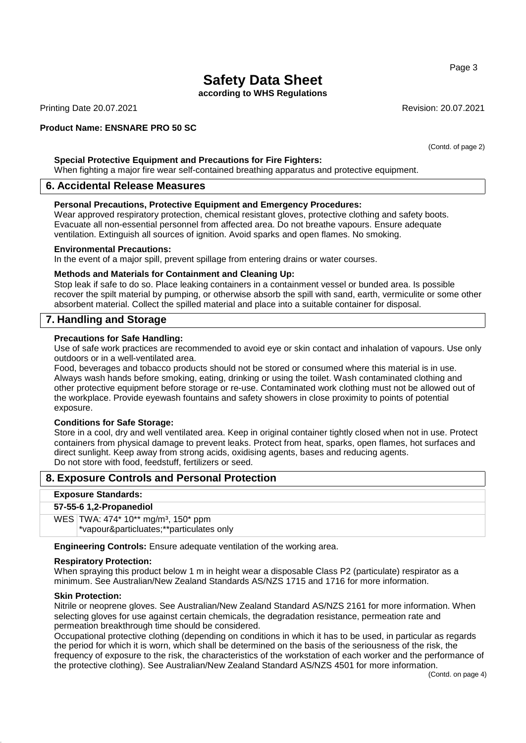**according to WHS Regulations**

Printing Date 20.07.2021 **Revision: 20.07.2021** Revision: 20.07.2021

#### **Product Name: ENSNARE PRO 50 SC**

**Special Protective Equipment and Precautions for Fire Fighters:**

When fighting a major fire wear self-contained breathing apparatus and protective equipment.

#### **6. Accidental Release Measures**

#### **Personal Precautions, Protective Equipment and Emergency Procedures:**

Wear approved respiratory protection, chemical resistant gloves, protective clothing and safety boots. Evacuate all non-essential personnel from affected area. Do not breathe vapours. Ensure adequate ventilation. Extinguish all sources of ignition. Avoid sparks and open flames. No smoking.

#### **Environmental Precautions:**

In the event of a major spill, prevent spillage from entering drains or water courses.

#### **Methods and Materials for Containment and Cleaning Up:**

Stop leak if safe to do so. Place leaking containers in a containment vessel or bunded area. Is possible recover the spilt material by pumping, or otherwise absorb the spill with sand, earth, vermiculite or some other absorbent material. Collect the spilled material and place into a suitable container for disposal.

#### **7. Handling and Storage**

#### **Precautions for Safe Handling:**

Use of safe work practices are recommended to avoid eye or skin contact and inhalation of vapours. Use only outdoors or in a well-ventilated area.

Food, beverages and tobacco products should not be stored or consumed where this material is in use. Always wash hands before smoking, eating, drinking or using the toilet. Wash contaminated clothing and other protective equipment before storage or re-use. Contaminated work clothing must not be allowed out of the workplace. Provide eyewash fountains and safety showers in close proximity to points of potential exposure.

#### **Conditions for Safe Storage:**

Store in a cool, dry and well ventilated area. Keep in original container tightly closed when not in use. Protect containers from physical damage to prevent leaks. Protect from heat, sparks, open flames, hot surfaces and direct sunlight. Keep away from strong acids, oxidising agents, bases and reducing agents. Do not store with food, feedstuff, fertilizers or seed.

#### **8. Exposure Controls and Personal Protection**

#### **Exposure Standards:**

#### **57-55-6 1,2-Propanediol**

WES TWA: 474\* 10\*\* mg/m<sup>3</sup>, 150\* ppm \*vapour&particluates;\*\*particulates only

**Engineering Controls:** Ensure adequate ventilation of the working area.

#### **Respiratory Protection:**

When spraying this product below 1 m in height wear a disposable Class P2 (particulate) respirator as a minimum. See Australian/New Zealand Standards AS/NZS 1715 and 1716 for more information.

#### **Skin Protection:**

Nitrile or neoprene gloves. See Australian/New Zealand Standard AS/NZS 2161 for more information. When selecting gloves for use against certain chemicals, the degradation resistance, permeation rate and permeation breakthrough time should be considered.

Occupational protective clothing (depending on conditions in which it has to be used, in particular as regards the period for which it is worn, which shall be determined on the basis of the seriousness of the risk, the frequency of exposure to the risk, the characteristics of the workstation of each worker and the performance of the protective clothing). See Australian/New Zealand Standard AS/NZS 4501 for more information.

Page 3

(Contd. of page 2)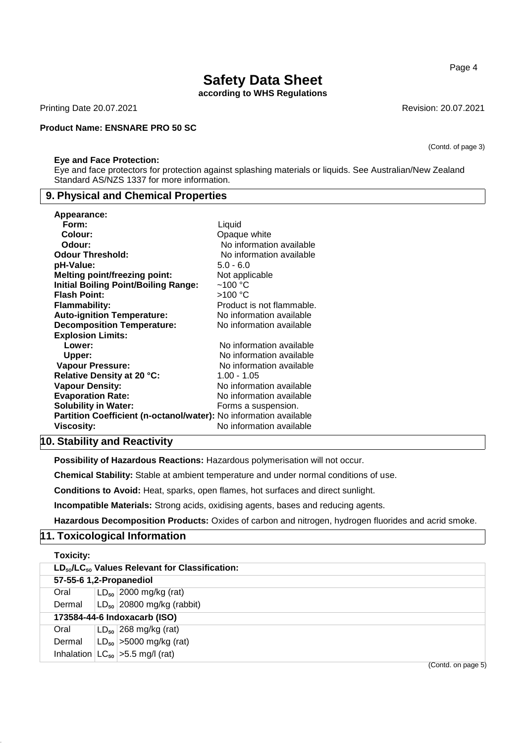**according to WHS Regulations**

Printing Date 20.07.2021 **Revision: 20.07.2021** Revision: 20.07.2021

#### **Product Name: ENSNARE PRO 50 SC**

#### **Eye and Face Protection:**

Eye and face protectors for protection against splashing materials or liquids. See Australian/New Zealand Standard AS/NZS 1337 for more information.

#### **9. Physical and Chemical Properties**

| Appearance:                                                       |                           |
|-------------------------------------------------------------------|---------------------------|
| Form:                                                             | Liquid                    |
| Colour:                                                           | Opaque white              |
| Odour:                                                            | No information available  |
| <b>Odour Threshold:</b>                                           | No information available  |
| pH-Value:                                                         | $5.0 - 6.0$               |
| <b>Melting point/freezing point:</b>                              | Not applicable            |
| <b>Initial Boiling Point/Boiling Range:</b>                       | $~100~{\rm ^{\circ}C}$    |
| <b>Flash Point:</b>                                               | >100 °C                   |
| Flammability:                                                     | Product is not flammable. |
| <b>Auto-ignition Temperature:</b>                                 | No information available  |
| <b>Decomposition Temperature:</b>                                 | No information available  |
| <b>Explosion Limits:</b>                                          |                           |
| Lower:                                                            | No information available  |
| Upper:                                                            | No information available  |
| <b>Vapour Pressure:</b>                                           | No information available  |
| Relative Density at 20 °C:                                        | $1.00 - 1.05$             |
| <b>Vapour Density:</b>                                            | No information available  |
| <b>Evaporation Rate:</b>                                          | No information available  |
| <b>Solubility in Water:</b>                                       | Forms a suspension.       |
| Partition Coefficient (n-octanol/water): No information available |                           |
| Viscosity:                                                        | No information available  |

#### **10. Stability and Reactivity**

**Possibility of Hazardous Reactions:** Hazardous polymerisation will not occur.

**Chemical Stability:** Stable at ambient temperature and under normal conditions of use.

**Conditions to Avoid:** Heat, sparks, open flames, hot surfaces and direct sunlight.

**Incompatible Materials:** Strong acids, oxidising agents, bases and reducing agents.

**Hazardous Decomposition Products:** Oxides of carbon and nitrogen, hydrogen fluorides and acrid smoke.

#### **11. Toxicological Information**

|                              | Toxicity:                                             |  |                                         |  |  |  |
|------------------------------|-------------------------------------------------------|--|-----------------------------------------|--|--|--|
|                              | $LD_{50}/LC_{50}$ Values Relevant for Classification: |  |                                         |  |  |  |
|                              | 57-55-6 1,2-Propanediol                               |  |                                         |  |  |  |
|                              | Oral                                                  |  | $LD_{50}$ 2000 mg/kg (rat)              |  |  |  |
|                              | Dermal                                                |  | $LD_{50}$ 20800 mg/kg (rabbit)          |  |  |  |
| 173584-44-6 Indoxacarb (ISO) |                                                       |  |                                         |  |  |  |
|                              | Oral                                                  |  | $LD_{50}$ 268 mg/kg (rat)               |  |  |  |
|                              | Dermal                                                |  | $ LD_{50}  > 5000$ mg/kg (rat)          |  |  |  |
|                              |                                                       |  | Inhalation $ LC_{50} $ > 5.5 mg/l (rat) |  |  |  |
|                              |                                                       |  | $(Control$ on page $E$                  |  |  |  |

Page 4

(Contd. of page 3)

(Contd. on page 5)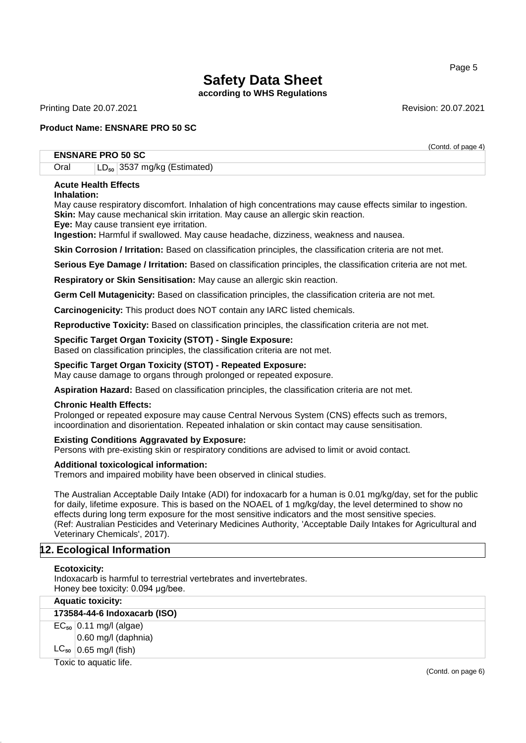**according to WHS Regulations**

Printing Date 20.07.2021 2008 20:07 20:07 20:07 20:07 20:07 20:07 20:07 20:07 20:07

(Contd. of page 4)

#### **Product Name: ENSNARE PRO 50 SC**

#### **ENSNARE PRO 50 SC**

Oral LD<sub>50</sub> 3537 mg/kg (Estimated)

#### **Acute Health Effects**

#### **Inhalation:**

May cause respiratory discomfort. Inhalation of high concentrations may cause effects similar to ingestion. **Skin:** May cause mechanical skin irritation. May cause an allergic skin reaction.

**Eye:** May cause transient eye irritation.

**Ingestion:** Harmful if swallowed. May cause headache, dizziness, weakness and nausea.

**Skin Corrosion / Irritation:** Based on classification principles, the classification criteria are not met.

**Serious Eye Damage / Irritation:** Based on classification principles, the classification criteria are not met.

**Respiratory or Skin Sensitisation:** May cause an allergic skin reaction.

**Germ Cell Mutagenicity:** Based on classification principles, the classification criteria are not met.

**Carcinogenicity:** This product does NOT contain any IARC listed chemicals.

**Reproductive Toxicity:** Based on classification principles, the classification criteria are not met.

#### **Specific Target Organ Toxicity (STOT) - Single Exposure:**

Based on classification principles, the classification criteria are not met.

#### **Specific Target Organ Toxicity (STOT) - Repeated Exposure:**

May cause damage to organs through prolonged or repeated exposure.

**Aspiration Hazard:** Based on classification principles, the classification criteria are not met.

#### **Chronic Health Effects:**

Prolonged or repeated exposure may cause Central Nervous System (CNS) effects such as tremors, incoordination and disorientation. Repeated inhalation or skin contact may cause sensitisation.

#### **Existing Conditions Aggravated by Exposure:**

Persons with pre-existing skin or respiratory conditions are advised to limit or avoid contact.

#### **Additional toxicological information:**

Tremors and impaired mobility have been observed in clinical studies.

The Australian Acceptable Daily Intake (ADI) for indoxacarb for a human is 0.01 mg/kg/day, set for the public for daily, lifetime exposure. This is based on the NOAEL of 1 mg/kg/day, the level determined to show no effects during long term exposure for the most sensitive indicators and the most sensitive species. (Ref: Australian Pesticides and Veterinary Medicines Authority, 'Acceptable Daily Intakes for Agricultural and Veterinary Chemicals', 2017).

#### **12. Ecological Information**

#### **Ecotoxicity:**

Indoxacarb is harmful to terrestrial vertebrates and invertebrates. Honey bee toxicity: 0.094 μg/bee.

| <b>Aquatic toxicity:</b>     |  |  |  |  |
|------------------------------|--|--|--|--|
| 173584-44-6 Indoxacarb (ISO) |  |  |  |  |
| $EC_{50}$ 0.11 mg/l (algae)  |  |  |  |  |
| 0.60 mg/l (daphnia)          |  |  |  |  |
| $LC_{50}$ 0.65 mg/l (fish)   |  |  |  |  |
| Toxic to aquatic life.       |  |  |  |  |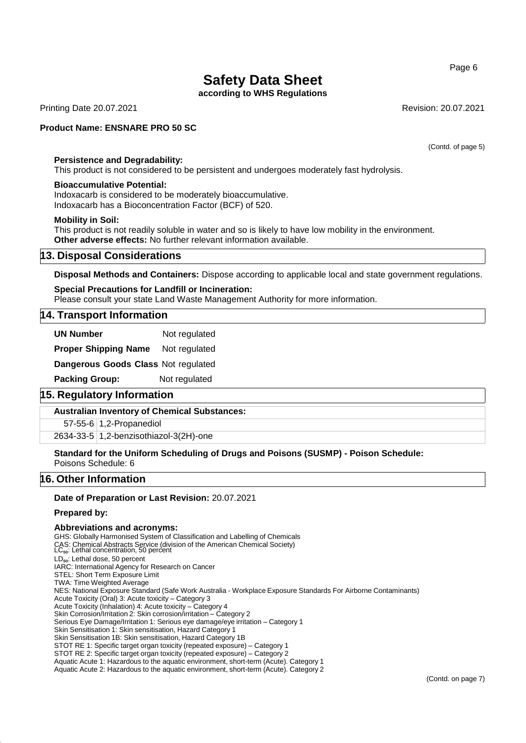**according to WHS Regulations**

Printing Date 20.07.2021 **Revision: 20.07.2021** Revision: 20.07.2021

#### **Product Name: ENSNARE PRO 50 SC**

(Contd. of page 5)

#### **Persistence and Degradability:**

This product is not considered to be persistent and undergoes moderately fast hydrolysis.

#### **Bioaccumulative Potential:**

Indoxacarb is considered to be moderately bioaccumulative. Indoxacarb has a Bioconcentration Factor (BCF) of 520.

#### **Mobility in Soil:**

This product is not readily soluble in water and so is likely to have low mobility in the environment. **Other adverse effects:** No further relevant information available.

#### **13. Disposal Considerations**

**Disposal Methods and Containers:** Dispose according to applicable local and state government regulations.

#### **Special Precautions for Landfill or Incineration:**

Please consult your state Land Waste Management Authority for more information.

#### **14. Transport Information**

**UN Number** Not regulated **Proper Shipping Name** Not regulated **Dangerous Goods Class** Not regulated **Packing Group:** Not regulated

#### **15. Regulatory Information**

#### **Australian Inventory of Chemical Substances:**

57-55-6 1,2-Propanediol

2634-33-5 1,2-benzisothiazol-3(2H)-one

**Standard for the Uniform Scheduling of Drugs and Poisons (SUSMP) - Poison Schedule:** Poisons Schedule: 6

#### **16. Other Information**

#### **Date of Preparation or Last Revision:** 20.07.2021

#### **Prepared by:**

#### **Abbreviations and acronyms:**

GHS: Globally Harmonised System of Classification and Labelling of Chemicals CAS: Chemical Abstracts Service (division of the American Chemical Society)<br>LC<sub>so</sub>: Lethal concentration, 50 percent LD<sub>50</sub>: Lethal dose, 50 percent IARC: International Agency for Research on Cancer STEL: Short Term Exposure Limit TWA: Time Weighted Average NES: National Exposure Standard (Safe Work Australia - Workplace Exposure Standards For Airborne Contaminants) Acute Toxicity (Oral) 3: Acute toxicity – Category 3 Acute Toxicity (Inhalation) 4: Acute toxicity – Category 4 Skin Corrosion/Irritation 2: Skin corrosion/irritation – Category 2 Serious Eye Damage/Irritation 1: Serious eye damage/eye irritation – Category 1 Skin Sensitisation 1: Skin sensitisation, Hazard Category 1 Skin Sensitisation 1B: Skin sensitisation, Hazard Category 1B STOT RE 1: Specific target organ toxicity (repeated exposure) – Category 1 STOT RE 2: Specific target organ toxicity (repeated exposure) – Category 2 Aquatic Acute 1: Hazardous to the aquatic environment, short-term (Acute). Category 1

Aquatic Acute 2: Hazardous to the aquatic environment, short-term (Acute). Category 2

#### Page 6